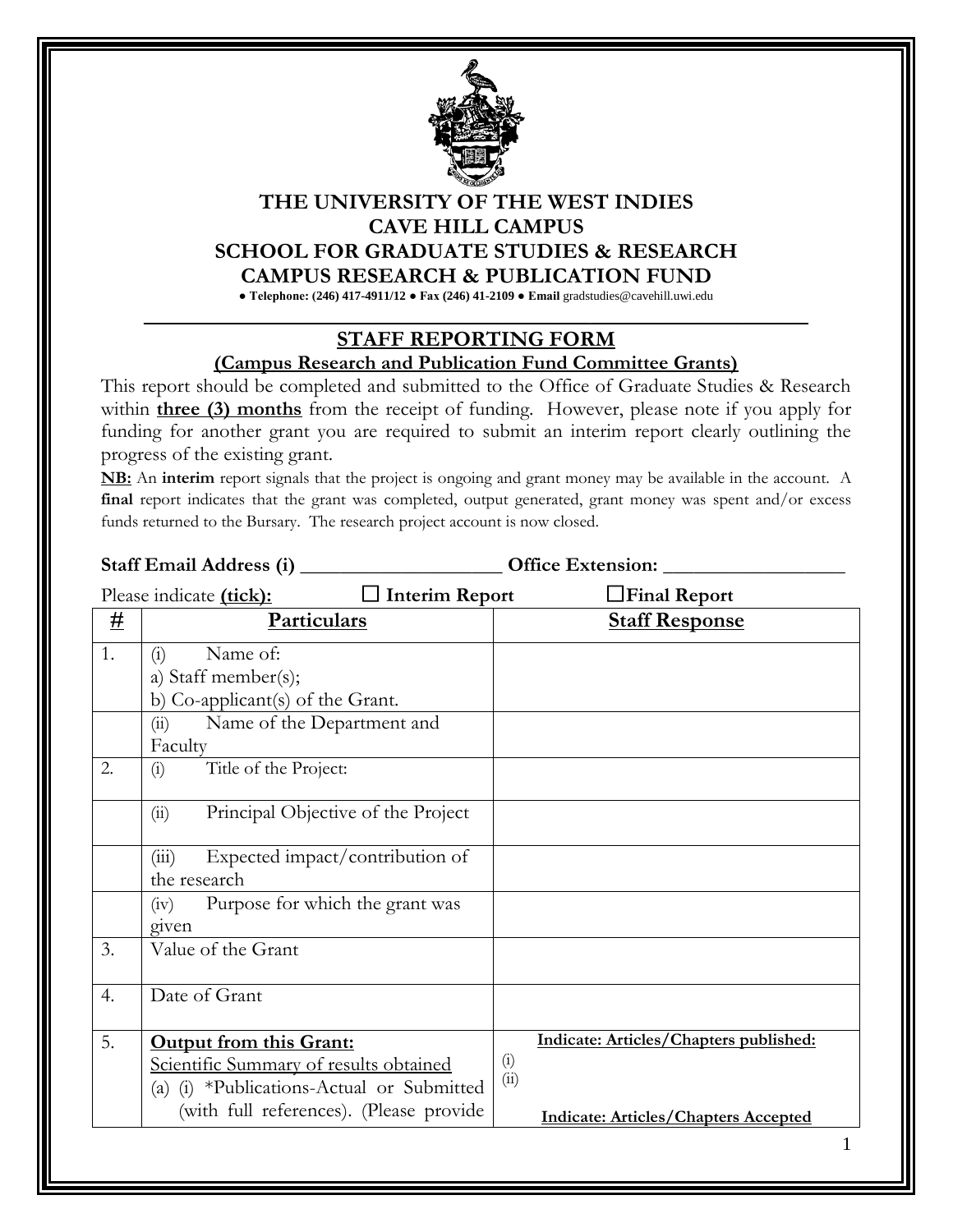

## **THE UNIVERSITY OF THE WEST INDIES CAVE HILL CAMPUS SCHOOL FOR GRADUATE STUDIES & RESEARCH CAMPUS RESEARCH & PUBLICATION FUND**

**● Telephone: (246) 417-4911/12 ● Fax (246) 41-2109 ● Email** gradstudies@cavehill.uwi.edu **\_\_\_\_\_\_\_\_\_\_\_\_\_\_\_\_\_\_\_\_\_\_\_\_\_\_\_\_\_\_\_\_\_\_\_\_\_\_\_\_\_\_\_\_\_\_\_\_\_\_\_\_\_\_\_\_\_\_\_\_\_**

## **STAFF REPORTING FORM**

## **(Campus Research and Publication Fund Committee Grants)**

This report should be completed and submitted to the Office of Graduate Studies & Research within **three (3) months** from the receipt of funding. However, please note if you apply for funding for another grant you are required to submit an interim report clearly outlining the progress of the existing grant.

**NB:** An **interim** report signals that the project is ongoing and grant money may be available in the account. A final report indicates that the grant was completed, output generated, grant money was spent and/or excess funds returned to the Bursary. The research project account is now closed.

|                                                  | Staff Email Address (i) _                   | <b>Office Extension:</b>                    |  |
|--------------------------------------------------|---------------------------------------------|---------------------------------------------|--|
| $\Box$ Interim Report<br>Please indicate (tick): |                                             | $\Box$ Final Report                         |  |
| <u>#</u>                                         | Particulars                                 | <b>Staff Response</b>                       |  |
| 1.                                               | Name of:<br>(i)                             |                                             |  |
|                                                  | a) Staff member(s);                         |                                             |  |
|                                                  | b) Co-applicant(s) of the Grant.            |                                             |  |
|                                                  | Name of the Department and<br>(ii)          |                                             |  |
|                                                  | Faculty                                     |                                             |  |
| 2.                                               | Title of the Project:<br>(i)                |                                             |  |
|                                                  | Principal Objective of the Project<br>(ii)  |                                             |  |
|                                                  | Expected impact/contribution of<br>(iii)    |                                             |  |
|                                                  | the research                                |                                             |  |
|                                                  | Purpose for which the grant was<br>(iv)     |                                             |  |
|                                                  | given                                       |                                             |  |
| 3.                                               | Value of the Grant                          |                                             |  |
| 4.                                               | Date of Grant                               |                                             |  |
| 5.                                               | <b>Output from this Grant:</b>              | Indicate: Articles/Chapters published:      |  |
|                                                  | Scientific Summary of results obtained      | $\left( i\right)$                           |  |
|                                                  | (a) $(i)$ *Publications-Actual or Submitted | (ii)                                        |  |
|                                                  | (with full references). (Please provide     | <b>Indicate: Articles/Chapters Accepted</b> |  |
|                                                  |                                             | $\mathbf 1$                                 |  |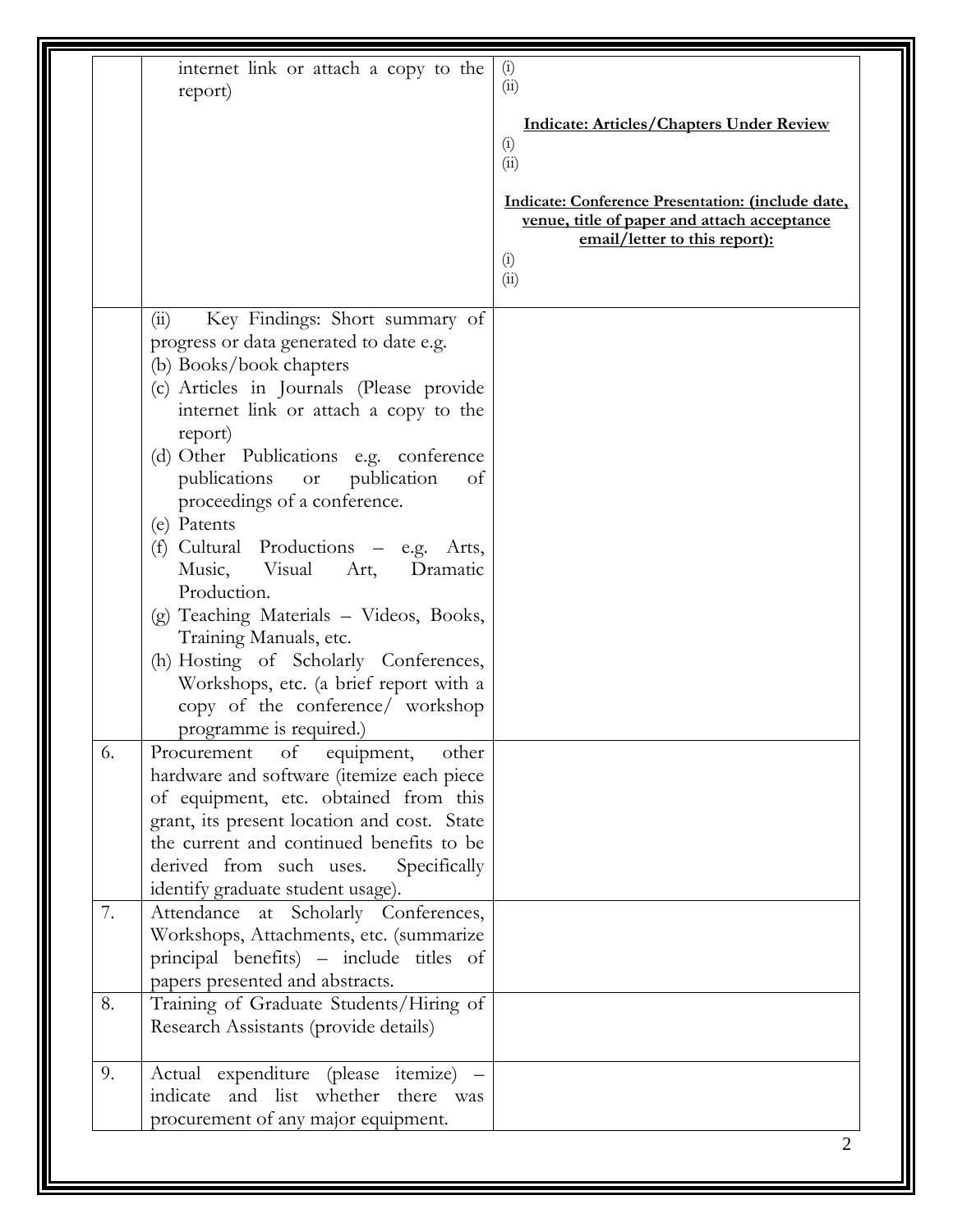|    | internet link or attach a copy to the<br>report)                                                                                                                              | (i)<br>(i)                                                                                                                                       |
|----|-------------------------------------------------------------------------------------------------------------------------------------------------------------------------------|--------------------------------------------------------------------------------------------------------------------------------------------------|
|    |                                                                                                                                                                               | <b>Indicate: Articles/Chapters Under Review</b><br>(i)<br>(ii)                                                                                   |
|    |                                                                                                                                                                               | Indicate: Conference Presentation: (include date,<br>venue, title of paper and attach acceptance<br>email/letter to this report):<br>(i)<br>(ii) |
|    | Key Findings: Short summary of<br>(i)<br>progress or data generated to date e.g.                                                                                              |                                                                                                                                                  |
|    | (b) Books/book chapters<br>(c) Articles in Journals (Please provide<br>internet link or attach a copy to the                                                                  |                                                                                                                                                  |
|    | report)<br>(d) Other Publications e.g. conference<br>publications<br>publication<br>or<br>of                                                                                  |                                                                                                                                                  |
|    | proceedings of a conference.<br>(e) Patents<br>(f) Cultural Productions - e.g. Arts,<br>Music,<br>Visual<br>Dramatic<br>Art,                                                  |                                                                                                                                                  |
|    | Production.<br>(g) Teaching Materials - Videos, Books,<br>Training Manuals, etc.                                                                                              |                                                                                                                                                  |
|    | (h) Hosting of Scholarly Conferences,<br>Workshops, etc. (a brief report with a<br>copy of the conference/ workshop<br>programme is required.)                                |                                                                                                                                                  |
| 6. | of<br>equipment,<br>other<br>Procurement<br>hardware and software (itemize each piece<br>of equipment, etc. obtained from this<br>grant, its present location and cost. State |                                                                                                                                                  |
|    | the current and continued benefits to be<br>derived from such uses.<br>Specifically<br>identify graduate student usage).                                                      |                                                                                                                                                  |
| 7. | Attendance at Scholarly Conferences,<br>Workshops, Attachments, etc. (summarize<br>principal benefits) – include titles of<br>papers presented and abstracts.                 |                                                                                                                                                  |
| 8. | Training of Graduate Students/Hiring of<br>Research Assistants (provide details)                                                                                              |                                                                                                                                                  |
| 9. | Actual expenditure (please itemize) -<br>indicate and list whether there was<br>procurement of any major equipment.                                                           |                                                                                                                                                  |